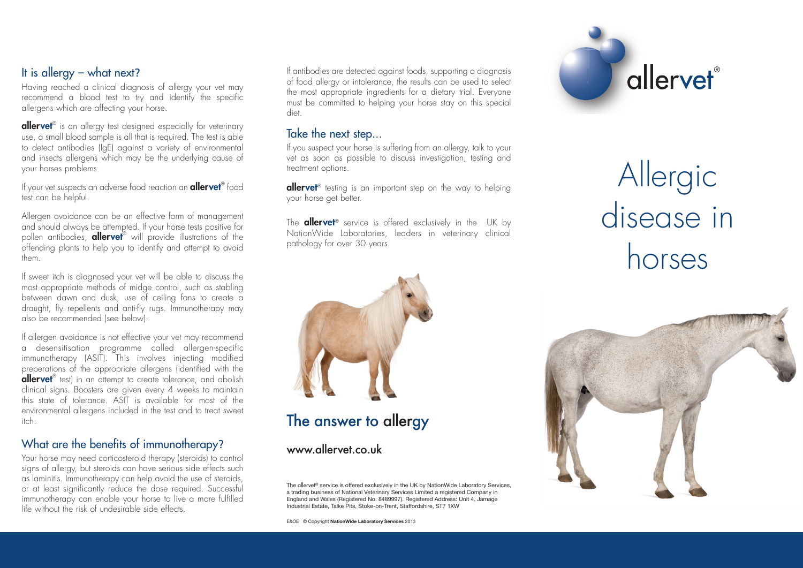### It is allergy – what next?

Having reached a clinical diagnosis of allergy your vet may recommend a blood test to try and identify the specific allergens which are affecting your horse.

**allervet**® is an allergy test designed especially for veterinary use, a small blood sample is all that is required. The test is able to detect antibodies (IgE) against a variety of environmental and insects allergens which may be the underlying cause of your horses problems.

If your vet suspects an adverse food reaction an **allervet**® food test can be helpful.

Allergen avoidance can be an effective form of management and should always be attempted. If your horse tests positive for pollen antibodies, **allervet**® will provide illustrations of the offending plants to help you to identify and attempt to avoid them.

If sweet itch is diagnosed your vet will be able to discuss the most appropriate methods of midge control, such as stabling between dawn and dusk, use of ceiling fans to create a draught, fly repellents and anti-fly rugs. Immunotherapy may also be recommended (see below).

If allergen avoidance is not effective your vet may recommend a desensitisation programme called allergen-specific immunotherapy (ASIT). This involves injecting modified preperations of the appropriate allergens (identified with the allervet<sup>®</sup> test) in an attempt to create tolerance, and abolish clinical signs. Boosters are given every 4 weeks to maintain this state of tolerance. ASIT is available for most of the environmental allergens included in the test and to treat sweet itch.

#### What are the benefits of immunotherapy?

Your horse may need corticosteroid therapy (steroids) to control signs of allergy, but steroids can have serious side effects such as laminitis. Immunotherapy can help avoid the use of steroids, or at least significantly reduce the dose required. Successful immunotherapy can enable your horse to live a more fulfilled life without the risk of undesirable side effects.

If antibodies are detected against foods, supporting a diagnosis of food allergy or intolerance, the results can be used to select the most appropriate ingredients for a dietary trial. Everyone must be committed to helping your horse stay on this special diet.

### Take the next step...

If you suspect your horse is suffering from an allergy, talk to your vet as soon as possible to discuss investigation, testing and treatment options.

**allervet**<sup>®</sup> testing is an important step on the way to helping your horse get better.

The **allervet**<sup>®</sup> service is offered exclusively in the UK by NationWide Laboratories, leaders in veterinary clinical pathology for over 30 years.



# Allergic disease in horses



# The answer to allergy

www.allervet.co.uk

The allervet® service is offered exclusively in the UK by NationWide Laboratory Services, a trading business of National Veterinary Services Limited a registered Company in England and Wales (Registered No. 8489997). Registered Address: Unit 4, Jamage Industrial Estate, Talke Pits, Stoke-on-Trent, Staffordshire, ST7 1XW